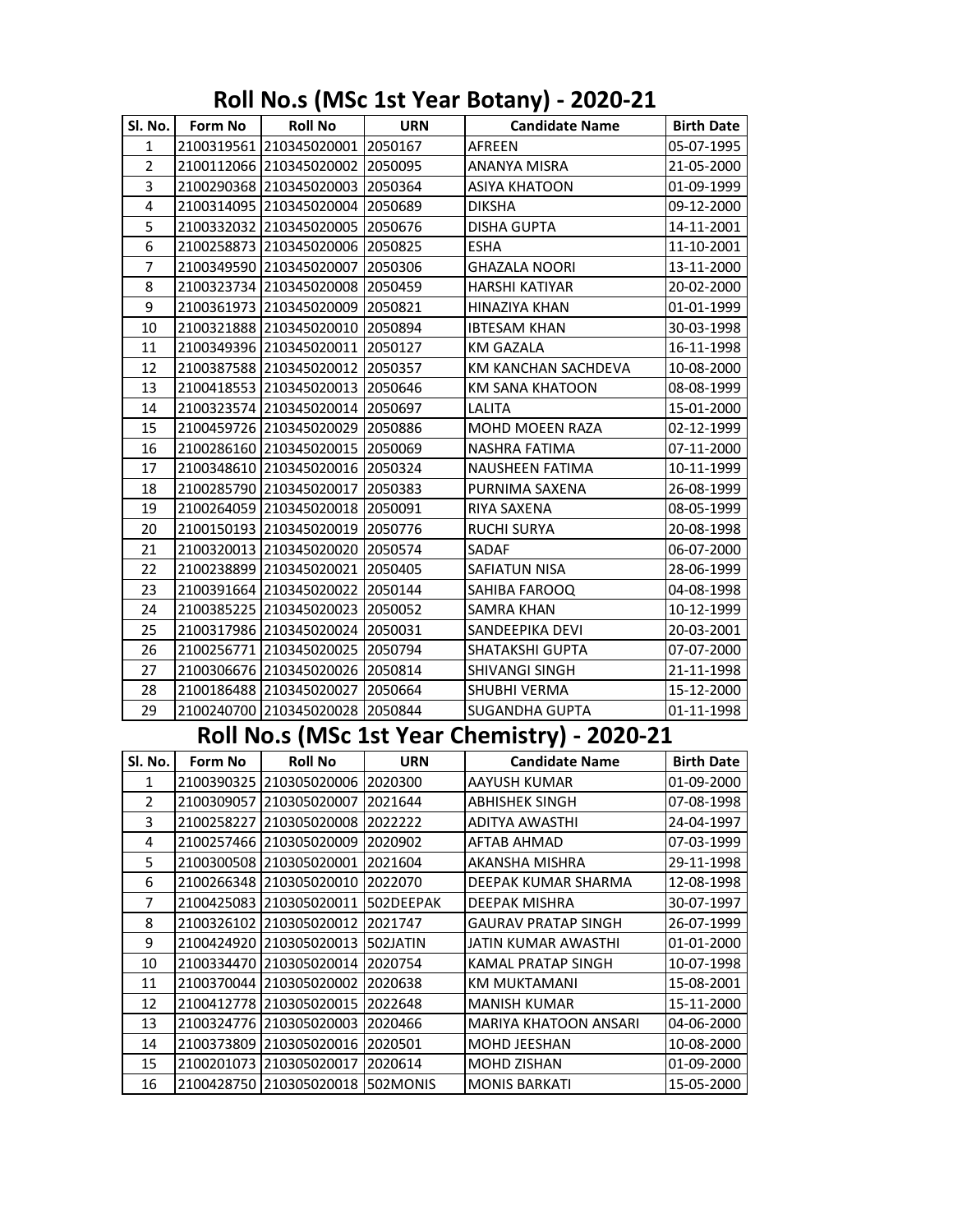## **Roll No.s (MSc 1st Year Botany) - 2020-21**

|                                              | SI. No.   Form No   Roll No |                                   | <b>URN</b> | <b>Candidate Name</b>  | <b>Birth Date</b> |  |
|----------------------------------------------|-----------------------------|-----------------------------------|------------|------------------------|-------------------|--|
| 1                                            |                             | 2100319561 210345020001 2050167   |            | AFREEN                 | 05-07-1995        |  |
| $\overline{2}$                               |                             | 2100112066 210345020002 2050095   |            | <b>ANANYA MISRA</b>    | 21-05-2000        |  |
| 3                                            |                             | 2100290368 210345020003 2050364   |            | ASIYA KHATOON          | 01-09-1999        |  |
| 4                                            |                             | 2100314095 210345020004 2050689   |            | <b>DIKSHA</b>          | 09-12-2000        |  |
| 5                                            |                             | 2100332032 210345020005 2050676   |            | DISHA GUPTA            | 14-11-2001        |  |
| 6                                            |                             | 2100258873 210345020006 2050825   |            | <b>ESHA</b>            | 11-10-2001        |  |
| 7                                            |                             | 2100349590 210345020007 2050306   |            | <b>GHAZALA NOORI</b>   | 13-11-2000        |  |
| 8                                            |                             | 2100323734 210345020008 2050459   |            | HARSHI KATIYAR         | 20-02-2000        |  |
| 9                                            |                             | 2100361973 210345020009 2050821   |            | HINAZIYA KHAN          | 01-01-1999        |  |
| 10                                           |                             | 2100321888 210345020010 2050894   |            | <b>IBTESAM KHAN</b>    | 30-03-1998        |  |
| 11                                           |                             | 2100349396 210345020011 2050127   |            | <b>KM GAZALA</b>       | 16-11-1998        |  |
| 12                                           |                             | 2100387588 210345020012 2050357   |            | KM KANCHAN SACHDEVA    | 10-08-2000        |  |
| 13                                           |                             | 2100418553 210345020013 2050646   |            | <b>KM SANA KHATOON</b> | 08-08-1999        |  |
| 14                                           |                             | 2100323574 210345020014 2050697   |            | LALITA                 | 15-01-2000        |  |
| 15                                           |                             | 2100459726 210345020029 2050886   |            | MOHD MOEEN RAZA        | 02-12-1999        |  |
| 16                                           |                             | 2100286160 210345020015 2050069   |            | NASHRA FATIMA          | 07-11-2000        |  |
| 17                                           |                             | 2100348610 210345020016 2050324   |            | NAUSHEEN FATIMA        | 10-11-1999        |  |
| 18                                           |                             | 2100285790 210345020017 2050383   |            | PURNIMA SAXENA         | 26-08-1999        |  |
| 19                                           |                             | 2100264059 210345020018 2050091   |            | RIYA SAXENA            | 08-05-1999        |  |
| 20                                           |                             | 2100150193 210345020019 2050776   |            | <b>RUCHI SURYA</b>     | 20-08-1998        |  |
| 21                                           |                             | 2100320013 210345020020 2050574   |            | SADAF                  | 06-07-2000        |  |
| 22                                           |                             | 2100238899 210345020021 2050405   |            | SAFIATUN NISA          | 28-06-1999        |  |
| 23                                           |                             | 2100391664 210345020022 2050144   |            | SAHIBA FAROOQ          | 04-08-1998        |  |
| 24                                           |                             | 2100385225 210345020023 2050052   |            | SAMRA KHAN             | 10-12-1999        |  |
| 25                                           |                             | 2100317986 210345020024 2050031   |            | SANDEEPIKA DEVI        | 20-03-2001        |  |
| 26                                           |                             | 2100256771 210345020025 2050794   |            | SHATAKSHI GUPTA        | 07-07-2000        |  |
| 27                                           |                             | 2100306676 210345020026 2050814   |            | SHIVANGI SINGH         | 21-11-1998        |  |
| 28                                           |                             | 2100186488 210345020027 2050664   |            | SHUBHI VERMA           | 15-12-2000        |  |
| 29                                           |                             | 2100240700 210345020028 2050844   |            | SUGANDHA GUPTA         | 01-11-1998        |  |
| Roll No.s (MSc 1st Year Chemistry) - 2020-21 |                             |                                   |            |                        |                   |  |
| Sl. No.                                      | Form No                     | <b>Roll No</b>                    | <b>URN</b> | <b>Candidate Name</b>  | <b>Birth Date</b> |  |
| 1                                            |                             | 2100390325 210305020006 2020300   |            | AAYUSH KUMAR           | 01-09-2000        |  |
| $\overline{2}$                               |                             | 2100309057 210305020007 2021644   |            | ABHISHEK SINGH         | 07-08-1998        |  |
| 3                                            |                             | 2100258227 210305020008 2022222   |            | ADITYA AWASTHI         | 24-04-1997        |  |
| 4                                            |                             | 2100257466 210305020009 2020902   |            | AFTAB AHMAD            | 07-03-1999        |  |
| 5                                            |                             | 2100300508 210305020001 2021604   |            | AKANSHA MISHRA         | 29-11-1998        |  |
| 6                                            |                             | 2100266348 210305020010 2022070   |            | DEEPAK KUMAR SHARMA    | 12-08-1998        |  |
| 7                                            |                             | 2100425083 210305020011 502DEEPAK |            | DEEPAK MISHRA          | 30-07-1997        |  |
| $\mathbf{Q}$                                 |                             | 2100326102 210305020012 2021747   |            | GALIRAV PRATAD SINGH   | 26-07-1999        |  |

| ь  | 2100300508121030502000112021604  |                   | IAKANSHA MISHKA            | 79-11-1998  |
|----|----------------------------------|-------------------|----------------------------|-------------|
| 6  | 2100266348 210305020010          | 2022070           | <b>DEEPAK KUMAR SHARMA</b> | 12-08-1998  |
| 7  | 2100425083 210305020011          | <b>ISO2DEEPAK</b> | <b>DEEPAK MISHRA</b>       | 30-07-1997  |
| -8 | 2100326102 210305020012 2021747  |                   | <b>GAURAV PRATAP SINGH</b> | l26-07-1999 |
| 9  | 2100424920 210305020013 502JATIN |                   | IJATIN KUMAR AWASTHI       | 01-01-2000  |
| 10 | 2100334470 210305020014 2020754  |                   | <b>KAMAL PRATAP SINGH</b>  | 10-07-1998  |
| 11 | 2100370044 210305020002          | 2020638           | <b>KM MUKTAMANI</b>        | 15-08-2001  |
| 12 | 2100412778  210305020015         | 2022648           | <b>MANISH KUMAR</b>        | 15-11-2000  |
| 13 | 2100324776 210305020003          | 2020466           | MARIYA KHATOON ANSARI      | 04-06-2000  |
| 14 | 2100373809 210305020016 2020501  |                   | IMOHD JEESHAN              | 10-08-2000  |

 2100201073 210305020017 2020614 MOHD ZISHAN 01-09-2000 2100428750 210305020018 502MONIS MONIS BARKATI 15-05-2000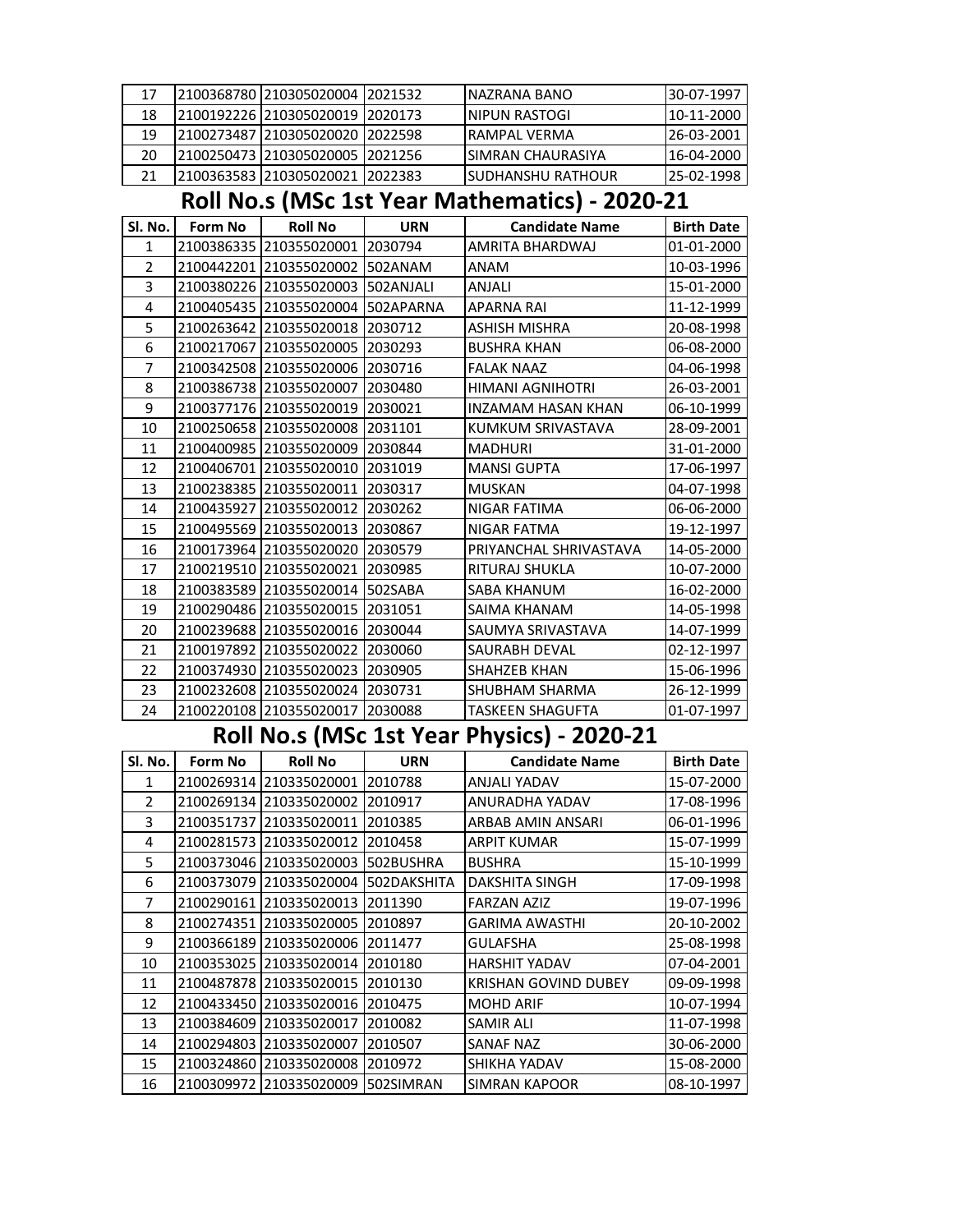| 17             |                                                | 2100368780 210305020004 2021532 |            | <b>NAZRANA BANO</b>    | 30-07-1997        |  |  |
|----------------|------------------------------------------------|---------------------------------|------------|------------------------|-------------------|--|--|
| 18             |                                                | 2100192226 210305020019         | 2020173    | NIPUN RASTOGI          | 10-11-2000        |  |  |
| 19             |                                                | 2100273487 210305020020         | 2022598    | RAMPAL VERMA           | 26-03-2001        |  |  |
| 20             |                                                | 2100250473 210305020005         | 2021256    | SIMRAN CHAURASIYA      | 16-04-2000        |  |  |
| 21             |                                                | 2100363583 210305020021         | 2022383    | SUDHANSHU RATHOUR      | 25-02-1998        |  |  |
|                | Roll No.s (MSc 1st Year Mathematics) - 2020-21 |                                 |            |                        |                   |  |  |
| Sl. No.        | Form No                                        | <b>Roll No</b>                  | <b>URN</b> | <b>Candidate Name</b>  | <b>Birth Date</b> |  |  |
| 1              |                                                | 2100386335 210355020001 2030794 |            | AMRITA BHARDWAJ        | 01-01-2000        |  |  |
| $\overline{2}$ |                                                | 2100442201 210355020002         | 502ANAM    | ANAM                   | 10-03-1996        |  |  |
| 3              |                                                | 2100380226 210355020003         | 502ANJALI  | ANJALI                 | 15-01-2000        |  |  |
| 4              |                                                | 2100405435 210355020004         | 502APARNA  | <b>APARNA RAI</b>      | 11-12-1999        |  |  |
| 5              |                                                | 2100263642 210355020018         | 2030712    | ASHISH MISHRA          | 20-08-1998        |  |  |
| 6              |                                                | 2100217067 210355020005         | 2030293    | <b>BUSHRA KHAN</b>     | 06-08-2000        |  |  |
| 7              |                                                | 2100342508 210355020006         | 2030716    | <b>FALAK NAAZ</b>      | 04-06-1998        |  |  |
| 8              |                                                | 2100386738 210355020007         | 2030480    | HIMANI AGNIHOTRI       | 26-03-2001        |  |  |
| 9              |                                                | 2100377176  210355020019        | 2030021    | INZAMAM HASAN KHAN     | 06-10-1999        |  |  |
| 10             |                                                | 2100250658 210355020008         | 2031101    | KUMKUM SRIVASTAVA      | 28-09-2001        |  |  |
| 11             |                                                | 2100400985 210355020009         | 2030844    | <b>MADHURI</b>         | 31-01-2000        |  |  |
| 12             |                                                | 2100406701 210355020010         | 2031019    | <b>MANSI GUPTA</b>     | 17-06-1997        |  |  |
| 13             |                                                | 2100238385 210355020011         | 2030317    | <b>MUSKAN</b>          | 04-07-1998        |  |  |
| 14             |                                                | 2100435927 210355020012         | 2030262    | NIGAR FATIMA           | 06-06-2000        |  |  |
| 15             |                                                | 2100495569 210355020013         | 2030867    | NIGAR FATMA            | 19-12-1997        |  |  |
| 16             |                                                | 2100173964 210355020020         | 2030579    | PRIYANCHAL SHRIVASTAVA | 14-05-2000        |  |  |
| 17             |                                                | 2100219510 210355020021         | 2030985    | RITURAJ SHUKLA         | 10-07-2000        |  |  |
| 18             |                                                | 2100383589 210355020014         | 502SABA    | SABA KHANUM            | 16-02-2000        |  |  |
| 19             |                                                | 2100290486 210355020015         | 2031051    | SAIMA KHANAM           | 14-05-1998        |  |  |
| 20             |                                                | 2100239688 210355020016         | 2030044    | SAUMYA SRIVASTAVA      | 14-07-1999        |  |  |
| 21             |                                                | 2100197892 210355020022         | 2030060    | SAURABH DEVAL          | 02-12-1997        |  |  |
| 22             |                                                | 2100374930 210355020023         | 2030905    | SHAHZEB KHAN           | 15-06-1996        |  |  |
| 23             |                                                | 2100232608 210355020024         | 2030731    | SHUBHAM SHARMA         | 26-12-1999        |  |  |
| 24             |                                                | 2100220108 210355020017         | 2030088    | TASKEEN SHAGUFTA       | 01-07-1997        |  |  |

## **Roll No.s (MSc 1st Year Physics) - 2020-21**

| Sl. No. | <b>Form No</b> | <b>Roll No</b> | <b>URN</b>  | <b>Candidate Name</b>       | <b>Birth Date</b> |
|---------|----------------|----------------|-------------|-----------------------------|-------------------|
| 1       | 2100269314     | 1210335020001  | 2010788     | <b>ANJALI YADAV</b>         | 15-07-2000        |
| 2       | 2100269134     | 1210335020002  | 2010917     | ANURADHA YADAV              | 17-08-1996        |
| 3       | 2100351737     | 210335020011   | 2010385     | ARBAB AMIN ANSARI           | 06-01-1996        |
| 4       | 2100281573     | 210335020012   | 2010458     | <b>ARPIT KUMAR</b>          | 15-07-1999        |
| 5       | 2100373046     | 210335020003   | 502BUSHRA   | <b>BUSHRA</b>               | 15-10-1999        |
| 6       | 2100373079     | 210335020004   | 502DAKSHITA | DAKSHITA SINGH              | 17-09-1998        |
| 7       | 2100290161     | 210335020013   | 2011390     | <b>FARZAN AZIZ</b>          | 19-07-1996        |
| 8       | 2100274351     | 210335020005   | 2010897     | <b>GARIMA AWASTHI</b>       | 20-10-2002        |
| 9       | 2100366189     | 210335020006   | 2011477     | <b>GULAFSHA</b>             | 25-08-1998        |
| 10      | 2100353025     | 210335020014   | 2010180     | <b>HARSHIT YADAV</b>        | 07-04-2001        |
| 11      | 2100487878     | 210335020015   | 2010130     | <b>KRISHAN GOVIND DUBEY</b> | 09-09-1998        |
| 12      | 2100433450     | 1210335020016  | 2010475     | <b>MOHD ARIF</b>            | 10-07-1994        |
| 13      | 2100384609     | 1210335020017  | 2010082     | <b>SAMIR ALI</b>            | 11-07-1998        |
| 14      | 2100294803     | 210335020007   | 2010507     | SANAF NAZ                   | 30-06-2000        |
| 15      | 2100324860     | 210335020008   | 2010972     | SHIKHA YADAV                | 15-08-2000        |
| 16      | 2100309972     | 210335020009   | 502SIMRAN   | <b>SIMRAN KAPOOR</b>        | 08-10-1997        |